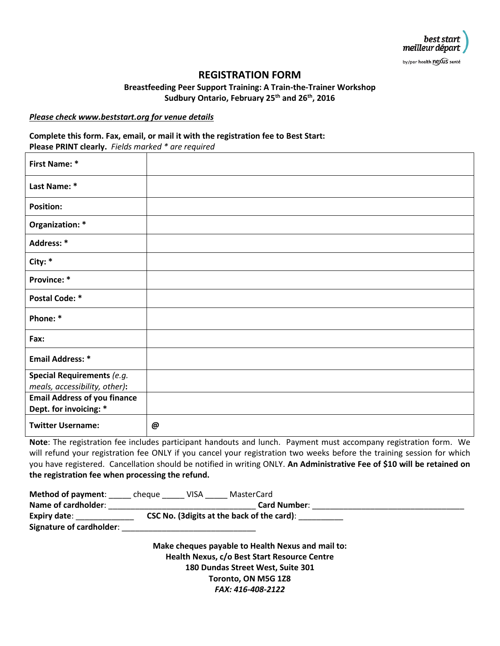

by/par health nexus santé

# **REGISTRATION FORM**

**Breastfeeding Peer Support Training: A Train-the-Trainer Workshop Sudbury Ontario, February 25th and 26th, 2016**

#### *Please check www.beststart.org for venue details*

## **Complete this form. Fax, email, or mail it with the registration fee to Best Start: Please PRINT clearly.** *Fields marked \* are required*

| <b>First Name: *</b>                                          |   |
|---------------------------------------------------------------|---|
| Last Name: *                                                  |   |
| <b>Position:</b>                                              |   |
| Organization: *                                               |   |
| Address: *                                                    |   |
| City: *                                                       |   |
| Province: *                                                   |   |
| <b>Postal Code: *</b>                                         |   |
| Phone: *                                                      |   |
| Fax:                                                          |   |
| <b>Email Address: *</b>                                       |   |
| Special Requirements (e.g.<br>meals, accessibility, other):   |   |
| <b>Email Address of you finance</b><br>Dept. for invoicing: * |   |
| <b>Twitter Username:</b>                                      | @ |

**Note**: The registration fee includes participant handouts and lunch. Payment must accompany registration form. We will refund your registration fee ONLY if you cancel your registration two weeks before the training session for which you have registered. Cancellation should be notified in writing ONLY. **An Administrative Fee of \$10 will be retained on the registration fee when processing the refund.**

| <b>Method of payment:</b> | cheque                                      | VISA | MasterCard          |  |  |  |
|---------------------------|---------------------------------------------|------|---------------------|--|--|--|
| Name of cardholder:       |                                             |      | <b>Card Number:</b> |  |  |  |
| <b>Expiry date:</b>       | CSC No. (3 digits at the back of the card): |      |                     |  |  |  |
| Signature of cardholder:  |                                             |      |                     |  |  |  |

**Make cheques payable to Health Nexus and mail to: Health Nexus, c/o Best Start Resource Centre 180 Dundas Street West, Suite 301 Toronto, ON M5G 1Z8** *FAX: 416-408-2122*